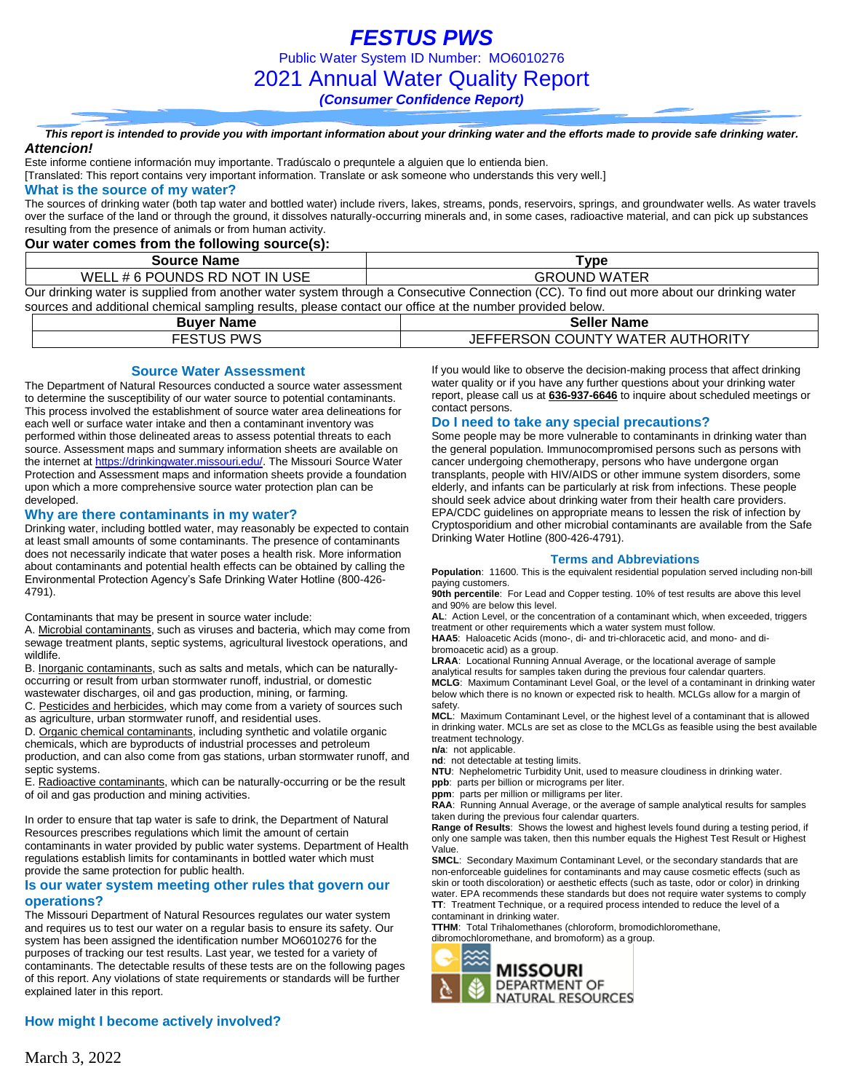*FESTUS PWS* Public Water System ID Number: MO6010276 2021 Annual Water Quality Report *(Consumer Confidence Report)*

*This report is intended to provide you with important information about your drinking water and the efforts made to provide safe drinking water. Attencion!*

Este informe contiene información muy importante. Tradúscalo o prequntele a alguien que lo entienda bien.

[Translated: This report contains very important information. Translate or ask someone who understands this very well.]

#### **What is the source of my water?**

The sources of drinking water (both tap water and bottled water) include rivers, lakes, streams, ponds, reservoirs, springs, and groundwater wells. As water travels over the surface of the land or through the ground, it dissolves naturally-occurring minerals and, in some cases, radioactive material, and can pick up substances resulting from the presence of animals or from human activity.

### **Our water comes from the following source(s):**

| <b>Source Name</b>            | Type                                                                                                                                      |
|-------------------------------|-------------------------------------------------------------------------------------------------------------------------------------------|
| WELL # 6 POUNDS RD NOT IN USE | <b>GROUND WATER</b>                                                                                                                       |
|                               | Our drinking water is supplied from another water system through a Consecutive Connection (CC). To find out more about our drinking water |

sources and additional chemical sampling results, please contact our office at the number provided below.

| <b>Buver Name</b> | <b>Seller Name</b>               |
|-------------------|----------------------------------|
| <b>FESTUS PWS</b> | JEFFERSON COUNTY WATER AUTHORITY |

#### **Source Water Assessment**

The Department of Natural Resources conducted a source water assessment to determine the susceptibility of our water source to potential contaminants. This process involved the establishment of source water area delineations for each well or surface water intake and then a contaminant inventory was performed within those delineated areas to assess potential threats to each source. Assessment maps and summary information sheets are available on the internet a[t https://drinkingwater.missouri.edu/.](https://drinkingwater.missouri.edu/) The Missouri Source Water Protection and Assessment maps and information sheets provide a foundation upon which a more comprehensive source water protection plan can be developed.

#### **Why are there contaminants in my water?**

Drinking water, including bottled water, may reasonably be expected to contain at least small amounts of some contaminants. The presence of contaminants does not necessarily indicate that water poses a health risk. More information about contaminants and potential health effects can be obtained by calling the Environmental Protection Agency's Safe Drinking Water Hotline (800-426- 4791).

Contaminants that may be present in source water include:

A. Microbial contaminants, such as viruses and bacteria, which may come from sewage treatment plants, septic systems, agricultural livestock operations, and wildlife.

B. Inorganic contaminants, such as salts and metals, which can be naturallyoccurring or result from urban stormwater runoff, industrial, or domestic wastewater discharges, oil and gas production, mining, or farming.

C. Pesticides and herbicides, which may come from a variety of sources such as agriculture, urban stormwater runoff, and residential uses.

D. Organic chemical contaminants, including synthetic and volatile organic chemicals, which are byproducts of industrial processes and petroleum production, and can also come from gas stations, urban stormwater runoff, and septic systems.

E. Radioactive contaminants, which can be naturally-occurring or be the result of oil and gas production and mining activities.

In order to ensure that tap water is safe to drink, the Department of Natural Resources prescribes regulations which limit the amount of certain contaminants in water provided by public water systems. Department of Health regulations establish limits for contaminants in bottled water which must provide the same protection for public health.

#### **Is our water system meeting other rules that govern our operations?**

The Missouri Department of Natural Resources regulates our water system and requires us to test our water on a regular basis to ensure its safety. Our system has been assigned the identification number MO6010276 for the purposes of tracking our test results. Last year, we tested for a variety of contaminants. The detectable results of these tests are on the following pages of this report. Any violations of state requirements or standards will be further explained later in this report.

### **How might I become actively involved?**

If you would like to observe the decision-making process that affect drinking water quality or if you have any further questions about your drinking water report, please call us at **636-937-6646** to inquire about scheduled meetings or contact persons.

#### **Do I need to take any special precautions?**

Some people may be more vulnerable to contaminants in drinking water than the general population. Immunocompromised persons such as persons with cancer undergoing chemotherapy, persons who have undergone organ transplants, people with HIV/AIDS or other immune system disorders, some elderly, and infants can be particularly at risk from infections. These people should seek advice about drinking water from their health care providers. EPA/CDC guidelines on appropriate means to lessen the risk of infection by Cryptosporidium and other microbial contaminants are available from the Safe Drinking Water Hotline (800-426-4791).

#### **Terms and Abbreviations**

**Population**: 11600. This is the equivalent residential population served including non-bill paying customers.

**90th percentile**: For Lead and Copper testing. 10% of test results are above this level and 90% are below this level.

**AL**: Action Level, or the concentration of a contaminant which, when exceeded, triggers treatment or other requirements which a water system must follow.

**HAA5**: Haloacetic Acids (mono-, di- and tri-chloracetic acid, and mono- and dibromoacetic acid) as a group.

**LRAA**: Locational Running Annual Average, or the locational average of sample analytical results for samples taken during the previous four calendar quarters. **MCLG**: Maximum Contaminant Level Goal, or the level of a contaminant in drinking water below which there is no known or expected risk to health. MCLGs allow for a margin of safety.

**MCL**: Maximum Contaminant Level, or the highest level of a contaminant that is allowed in drinking water. MCLs are set as close to the MCLGs as feasible using the best available treatment technology.

**n/a**: not applicable.

**nd**: not detectable at testing limits.

**NTU**: Nephelometric Turbidity Unit, used to measure cloudiness in drinking water.

**ppb**: parts per billion or micrograms per liter.

**ppm**: parts per million or milligrams per liter.

**RAA**: Running Annual Average, or the average of sample analytical results for samples taken during the previous four calendar quarters.

**Range of Results**: Shows the lowest and highest levels found during a testing period, if only one sample was taken, then this number equals the Highest Test Result or Highest Value.

**SMCL**: Secondary Maximum Contaminant Level, or the secondary standards that are non-enforceable guidelines for contaminants and may cause cosmetic effects (such as skin or tooth discoloration) or aesthetic effects (such as taste, odor or color) in drinking water. EPA recommends these standards but does not require water systems to comply **TT**: Treatment Technique, or a required process intended to reduce the level of a contaminant in drinking water.

**TTHM**: Total Trihalomethanes (chloroform, bromodichloromethane, dibromochloromethane, and bromoform) as a group.

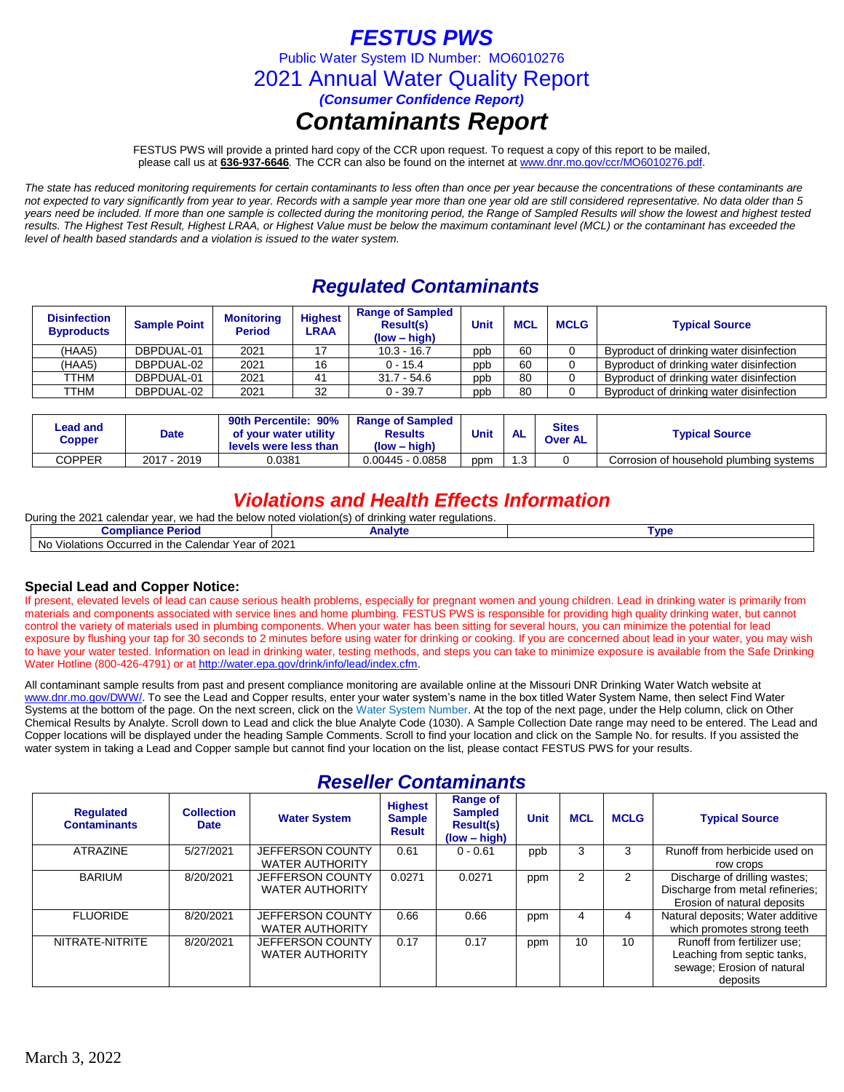### *FESTUS PWS*

Public Water System ID Number: MO6010276

2021 Annual Water Quality Report

*(Consumer Confidence Report)*

### *Contaminants Report*

FESTUS PWS will provide a printed hard copy of the CCR upon request. To request a copy of this report to be mailed, please call us at **636-937-6646***.* The CCR can also be found on the internet at www.dnr.mo.gov/ccr/MO6010276.pdf.

*The state has reduced monitoring requirements for certain contaminants to less often than once per year because the concentrations of these contaminants are not expected to vary significantly from year to year. Records with a sample year more than one year old are still considered representative. No data older than 5 years need be included. If more than one sample is collected during the monitoring period, the Range of Sampled Results will show the lowest and highest tested results. The Highest Test Result, Highest LRAA, or Highest Value must be below the maximum contaminant level (MCL) or the contaminant has exceeded the level of health based standards and a violation is issued to the water system.* 

## *Regulated Contaminants*

| <b>Disinfection</b><br><b>Byproducts</b> | <b>Sample Point</b> | <b>Monitoring</b><br><b>Period</b> | <b>Highest</b><br><b>LRAA</b> | <b>Range of Sampled</b><br><b>Result(s)</b><br>$(low - high)$ | Unit | <b>MCL</b> | <b>MCLG</b> | <b>Typical Source</b>                    |
|------------------------------------------|---------------------|------------------------------------|-------------------------------|---------------------------------------------------------------|------|------------|-------------|------------------------------------------|
| (HAA5)                                   | DBPDUAL-01          | 2021                               |                               | $10.3 - 16.7$                                                 | ppb  | 60         |             | Byproduct of drinking water disinfection |
| (HAA5)                                   | DBPDUAL-02          | 2021                               | 16                            | $0 - 15.4$                                                    | ppb  | 60         |             | Byproduct of drinking water disinfection |
| TTHM                                     | DBPDUAL-01          | 2021                               |                               | $31.7 - 54.6$                                                 | ppb  | 80         |             | Byproduct of drinking water disinfection |
| TTHM                                     | DBPDUAL-02          | 2021                               | 32                            | $0 - 39.7$                                                    | ppb  | 80         |             | Byproduct of drinking water disinfection |

| Lead and<br>Copper | <b>Date</b>      | 90th Percentile: 90%<br>of your water utility<br>levels were less than | <b>Range of Sampled</b><br><b>Results</b><br>(low – high) | <b>Unit</b> | <b>AL</b> | Sites<br><b>Over AL</b> | <b>Typical Source</b>                   |
|--------------------|------------------|------------------------------------------------------------------------|-----------------------------------------------------------|-------------|-----------|-------------------------|-----------------------------------------|
| COPPER             | 2017<br>∕ - 2019 | 0.0381                                                                 | $0.00445 - 0.0858$                                        | ppm         | ົ<br>ن. ا |                         | Corrosion of household plumbing systems |

### *Violations and Health Effects Information*

| During the 2021<br>1 calendar vear. we had the below noted violation(s) of drinking water regulations. |         |      |  |  |  |  |  |
|--------------------------------------------------------------------------------------------------------|---------|------|--|--|--|--|--|
| <b>Compliance Period</b>                                                                               | Analvte | Γvɒ€ |  |  |  |  |  |
| No Violations Occurred in the Calendar Year of 2021                                                    |         |      |  |  |  |  |  |

### **Special Lead and Copper Notice:**

If present, elevated levels of lead can cause serious health problems, especially for pregnant women and young children. Lead in drinking water is primarily from materials and components associated with service lines and home plumbing. FESTUS PWS is responsible for providing high quality drinking water, but cannot control the variety of materials used in plumbing components. When your water has been sitting for several hours, you can minimize the potential for lead exposure by flushing your tap for 30 seconds to 2 minutes before using water for drinking or cooking. If you are concerned about lead in your water, you may wish to have your water tested. Information on lead in drinking water, testing methods, and steps you can take to minimize exposure is available from the Safe Drinking Water Hotline (800-426-4791) or at [http://water.epa.gov/drink/info/lead/index.cfm.](http://water.epa.gov/drink/info/lead/index.cfm)

All contaminant sample results from past and present compliance monitoring are available online at the Missouri DNR Drinking Water Watch website at [www.dnr.mo.gov/DWW/.](http://www.dnr.mo.gov/DWW/) To see the Lead and Copper results, enter your water system's name in the box titled Water System Name, then select Find Water Systems at the bottom of the page. On the next screen, click on the Water System Number. At the top of the next page, under the Help column, click on Other Chemical Results by Analyte. Scroll down to Lead and click the blue Analyte Code (1030). A Sample Collection Date range may need to be entered. The Lead and Copper locations will be displayed under the heading Sample Comments. Scroll to find your location and click on the Sample No. for results. If you assisted the water system in taking a Lead and Copper sample but cannot find your location on the list, please contact FESTUS PWS for your results.

### *Reseller Contaminants*

| <b>Regulated</b><br><b>Contaminants</b> | <b>Collection</b><br><b>Date</b> | <b>Water System</b>                        | <b>Highest</b><br><b>Sample</b><br><b>Result</b> | Range of<br><b>Sampled</b><br><b>Result(s)</b><br>$(low - high)$ | <b>Unit</b> | <b>MCL</b> | <b>MCLG</b> | <b>Typical Source</b>                                                                                |  |  |  |  |
|-----------------------------------------|----------------------------------|--------------------------------------------|--------------------------------------------------|------------------------------------------------------------------|-------------|------------|-------------|------------------------------------------------------------------------------------------------------|--|--|--|--|
| <b>ATRAZINE</b>                         | 5/27/2021                        | JEFFERSON COUNTY<br><b>WATER AUTHORITY</b> | 0.61                                             | $0 - 0.61$                                                       | ppb         | 3          | 3           | Runoff from herbicide used on<br>row crops                                                           |  |  |  |  |
| <b>BARIUM</b>                           | 8/20/2021                        | JEFFERSON COUNTY<br><b>WATER AUTHORITY</b> | 0.0271                                           | 0.0271                                                           | ppm         | 2          | 2           | Discharge of drilling wastes;<br>Discharge from metal refineries;<br>Erosion of natural deposits     |  |  |  |  |
| <b>FLUORIDE</b>                         | 8/20/2021                        | JEFFERSON COUNTY<br><b>WATER AUTHORITY</b> | 0.66                                             | 0.66                                                             | ppm         | 4          | 4           | Natural deposits; Water additive<br>which promotes strong teeth                                      |  |  |  |  |
| NITRATE-NITRITE                         | 8/20/2021                        | JEFFERSON COUNTY<br><b>WATER AUTHORITY</b> | 0.17                                             | 0.17                                                             | ppm         | 10         | 10          | Runoff from fertilizer use:<br>Leaching from septic tanks,<br>sewage; Erosion of natural<br>deposits |  |  |  |  |